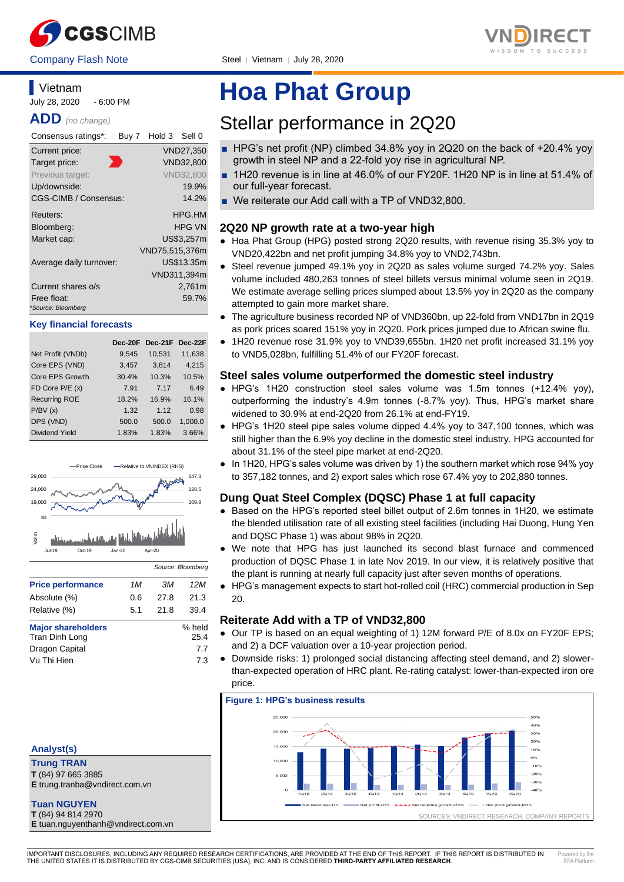



### **Vietnam**

July 28, 2020 - 6:00 PM

**ADD** *(no change)*

| Consensus ratings*:               | Buy 7 | Hold 3 Sell 0  |                  |
|-----------------------------------|-------|----------------|------------------|
| Current price:                    |       |                | VND27,350        |
| Target price:                     |       |                | VND32.800        |
| Previous target:                  |       |                | <b>VND32,800</b> |
| Up/downside:                      |       |                | 19.9%            |
| CGS-CIMB / Consensus:             |       |                | 14.2%            |
| Reuters:                          |       |                | HPG.HM           |
| Bloomberg:                        |       |                | HPG VN           |
| Market cap:                       |       |                | US\$3,257m       |
|                                   |       | VND75,515,376m |                  |
| Average daily turnover:           |       |                | US\$13.35m       |
|                                   |       |                | VND311,394m      |
| Current shares o/s                |       |                | 2,761m           |
| Free float:<br>*Source: Bloomberg |       |                | 59.7%            |

#### **Key financial forecasts**

|                      | Dec-20F | Dec-21F | Dec-22F |
|----------------------|---------|---------|---------|
| Net Profit (VNDb)    | 9,545   | 10,531  | 11,638  |
| Core EPS (VND)       | 3,457   | 3,814   | 4,215   |
| Core EPS Growth      | 30.4%   | 10.3%   | 10.5%   |
| FD Core P/E (x)      | 7.91    | 7.17    | 6.49    |
| <b>Recurring ROE</b> | 18.2%   | 16.9%   | 16.1%   |
| P/BV(x)              | 1.32    | 1.12    | 0.98    |
| DPS (VND)            | 500.0   | 500.0   | 1.000.0 |
| Dividend Yield       | 1.83%   | 1.83%   | 3.66%   |



| <b>Price performance</b>  | 1M  | ЗM   | 12 M   |
|---------------------------|-----|------|--------|
| Absolute (%)              | 0.6 | 27.8 | 21.3   |
| Relative (%)              | 5.1 | 21.8 | 39.4   |
| <b>Major shareholders</b> |     |      | % held |
| Tran Dinh Long            |     |      | 25.4   |
| Dragon Capital            |     |      | 7.7    |
| Vu Thi Hien               |     |      | 7.3    |

#### **Analyst(s)**

**Trung TRAN T** (84) 97 665 3885

**E** trung.tranba@vndirect.com.vn

**Tuan NGUYEN**

**T** (84) 94 814 2970 **E** tuan.nguyenthanh@vndirect.com.vn

# **Hoa Phat Group**

## Stellar performance in 2Q20

- HPG's net profit (NP) climbed 34.8% yoy in 2Q20 on the back of +20.4% yoy growth in steel NP and a 22-fold yoy rise in agricultural NP.
- 1H20 revenue is in line at 46.0% of our FY20F. 1H20 NP is in line at 51.4% of our full-year forecast.
- We reiterate our Add call with a TP of VND32,800.

#### **2Q20 NP growth rate at a two-year high**

- Hoa Phat Group (HPG) posted strong 2Q20 results, with revenue rising 35.3% yoy to VND20,422bn and net profit jumping 34.8% yoy to VND2,743bn.
- Steel revenue jumped 49.1% yoy in 2Q20 as sales volume surged 74.2% yoy. Sales volume included 480,263 tonnes of steel billets versus minimal volume seen in 2Q19. We estimate average selling prices slumped about 13.5% yoy in 2Q20 as the company attempted to gain more market share.
- The agriculture business recorded NP of VND360bn, up 22-fold from VND17bn in 2Q19 as pork prices soared 151% yoy in 2Q20. Pork prices jumped due to African swine flu.
- 1H20 revenue rose 31.9% yoy to VND39,655bn. 1H20 net profit increased 31.1% yoy to VND5,028bn, fulfilling 51.4% of our FY20F forecast.

#### **Steel sales volume outperformed the domestic steel industry**

- HPG's 1H20 construction steel sales volume was 1.5m tonnes (+12.4% yoy), outperforming the industry's 4.9m tonnes (-8.7% yoy). Thus, HPG's market share widened to 30.9% at end-2Q20 from 26.1% at end-FY19.
- HPG's 1H20 steel pipe sales volume dipped 4.4% yoy to 347,100 tonnes, which was still higher than the 6.9% yoy decline in the domestic steel industry. HPG accounted for about 31.1% of the steel pipe market at end-2Q20.
- In 1H20, HPG's sales volume was driven by 1) the southern market which rose 94% yoy to 357,182 tonnes, and 2) export sales which rose 67.4% yoy to 202,880 tonnes.

#### **Dung Quat Steel Complex (DQSC) Phase 1 at full capacity**

- Based on the HPG's reported steel billet output of 2.6m tonnes in 1H20, we estimate the blended utilisation rate of all existing steel facilities (including Hai Duong, Hung Yen and DQSC Phase 1) was about 98% in 2Q20.
- We note that HPG has just launched its second blast furnace and commenced production of DQSC Phase 1 in late Nov 2019. In our view, it is relatively positive that the plant is running at nearly full capacity just after seven months of operations.
- HPG's management expects to start hot-rolled coil (HRC) commercial production in Sep 20.

#### **Reiterate Add with a TP of VND32,800**

- Our TP is based on an equal weighting of 1) 12M forward P/E of 8.0x on FY20F EPS; and 2) a DCF valuation over a 10-year projection period.
- Downside risks: 1) prolonged social distancing affecting steel demand, and 2) slowerthan-expected operation of HRC plant. Re-rating catalyst: lower-than-expected iron ore price.



IMPORTANT DISCLOSURES, INCLUDING ANY REQUIRED RESEARCH CERTIFICATIONS, ARE PROVIDED AT THE END OF THIS REPORT. IF THIS REPORT IS DISTRIBUTED IN THE UNITED STATES IT IS DISTRIBUTED BY CGS-CIMB SECURITIES (USA), INC. AND IS CONSIDERED **THIRD-PARTY AFFILIATED RESEARCH**. Powered by the  $EFA$   $DIA<sup>2</sup>$ 

٦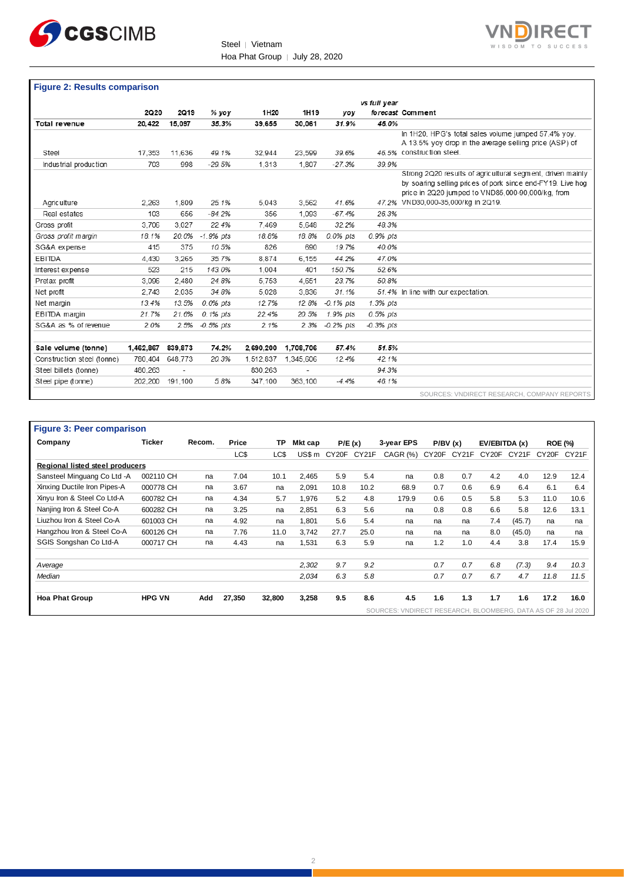



#### **Figure 2: Results comparison**

|                            |           |                          |             |           |           |              | vs full year |                                                            |
|----------------------------|-----------|--------------------------|-------------|-----------|-----------|--------------|--------------|------------------------------------------------------------|
|                            | 2Q20      | 2Q19                     | % yoy       | 1H20      | 1H19      | yoy          |              | forecast Comment                                           |
| Total revenue              | 20,422    | 15.097                   | 35.3%       | 39.655    | 30.061    | 31.9%        | 46.0%        |                                                            |
|                            |           |                          |             |           |           |              |              | In 1H20, HPG's total sales volume jumped 57.4% yoy.        |
|                            |           |                          |             |           |           |              |              | A 13.5% yoy drop in the average selling price (ASP) of     |
| Steel                      | 17,353    | 11.636                   | 49.1%       | 32,944    | 23,599    | 39.6%        |              | 46.5% construction steel.                                  |
| Industrial production      | 703       | 998                      | $-29.5%$    | 1.313     | 1.807     | $-27.3%$     | 39.9%        |                                                            |
|                            |           |                          |             |           |           |              |              | Strong 2Q20 results of agricultural segment, driven mainly |
|                            |           |                          |             |           |           |              |              | by soaring selling prices of pork since end-FY19. Live hog |
|                            |           |                          |             |           |           |              |              | price in 2Q20 jumped to VND85,000-90,000/kg, from          |
| Agric ulture               | 2.263     | 1.809                    | 25.1%       | 5.043     | 3,562     | 41.6%        |              | 47.2% VND30.000-35.000/kg in 2Q19.                         |
| Real estates               | 103       | 656                      | $-84.2%$    | 356       | 1.093     | $-67.4%$     | 26.3%        |                                                            |
| Gross profit               | 3.706     | 3.027                    | 22.4%       | 7.469     | 5.648     | 32.2%        | 48.3%        |                                                            |
| Gross profit margin        | 18.1%     | 20.0%                    | $-1.9%$ pts | 18.8%     | 18.8%     | 0.0% pts     | 0.9% pts     |                                                            |
| SG&A expense               | 415       | 375                      | 10.5%       | 826       | 690       | 19.7%        | 40.0%        |                                                            |
| <b>EBITDA</b>              | 4.430     | 3.265                    | 35.7%       | 8.874     | 6.155     | 44.2%        | 47.0%        |                                                            |
| Interest expense           | 523       | 215                      | 143.0%      | 1.004     | 401       | 150.7%       | 52.6%        |                                                            |
| Pretax profit              | 3.096     | 2.480                    | 24.8%       | 5.753     | 4.651     | 23.7%        | 50.8%        |                                                            |
| Net profit                 | 2.743     | 2.035                    | 34.8%       | 5.028     | 3.836     | 31.1%        |              | 51.4% In line with our expectation.                        |
| Net margin                 | 13.4%     | 13.5%                    | 0.0% pts    | 12.7%     | 12.8%     | $-0.1\%$ pts | 1.3% pts     |                                                            |
| EBITDA margin              | 21.7%     | 21.6%                    | 0.1% pts    | 22.4%     | 20.5%     | 1.9% pts     | 0.5% pts     |                                                            |
| SG&A as % of revenue       | 2.0%      | 2.5%                     | $-0.5%$ pts | 2.1%      | 2.3%      | $-0.2%$ pts  | $-0.3%$ pts  |                                                            |
|                            |           |                          |             |           |           |              |              |                                                            |
| Sale volume (tonne)        | 1,462,867 | 839,873                  | 74.2%       | 2,690,200 | 1,708,706 | 57.4%        | 51.5%        |                                                            |
| Construction steel (tonne) | 780,404   | 648,773                  | 20.3%       | 1,512,837 | 1,345,606 | 12.4%        | 42.1%        |                                                            |
| Steel billets (tonne)      | 480.263   | $\overline{\phantom{a}}$ |             | 830.263   | ٠         |              | 94.3%        |                                                            |
| Steel pipe (tonne)         | 202.200   | 191.100                  | 5.8%        | 347.100   | 363.100   | $-4.4%$      | 46.1%        |                                                            |
|                            |           |                          |             |           |           |              |              | SOURCES: VNDIRECT RESEARCH, COMPANY REPORTS                |

| <b>Figure 3: Peer comparison</b> |               |        |        |        |         |       |        |                                                               |       |         |                    |               |       |                |
|----------------------------------|---------------|--------|--------|--------|---------|-------|--------|---------------------------------------------------------------|-------|---------|--------------------|---------------|-------|----------------|
| Company                          | <b>Ticker</b> | Recom. | Price  | ТP     | Mkt cap |       | P/E(x) | 3-year EPS                                                    |       | P/BV(x) |                    | EV/EBITDA (x) |       | <b>ROE (%)</b> |
|                                  |               |        | LC\$   | LC\$   | US\$ m  | CY20F | CY21F  | CAGR (%)                                                      | CY20F | CY21F   | CY <sub>20</sub> F | CY21F         | CY20F | CY21F          |
| Regional listed steel producers  |               |        |        |        |         |       |        |                                                               |       |         |                    |               |       |                |
| Sansteel Minguang Co Ltd -A      | 002110 CH     | na     | 7.04   | 10.1   | 2,465   | 5.9   | 5.4    | na                                                            | 0.8   | 0.7     | 4.2                | 4.0           | 12.9  | 12.4           |
| Xinxing Ductile Iron Pipes-A     | 000778 CH     | na     | 3.67   | na     | 2,091   | 10.8  | 10.2   | 68.9                                                          | 0.7   | 0.6     | 6.9                | 6.4           | 6.1   | 6.4            |
| Xinyu Iron & Steel Co Ltd-A      | 600782 CH     | na     | 4.34   | 5.7    | 1.976   | 5.2   | 4.8    | 179.9                                                         | 0.6   | 0.5     | 5.8                | 5.3           | 11.0  | 10.6           |
| Nanjing Iron & Steel Co-A        | 600282 CH     | na     | 3.25   | na     | 2,851   | 6.3   | 5.6    | na                                                            | 0.8   | 0.8     | 6.6                | 5.8           | 12.6  | 13.1           |
| Liuzhou Iron & Steel Co-A        | 601003 CH     | na     | 4.92   | na     | 1.801   | 5.6   | 5.4    | na                                                            | na    | na      | 7.4                | (45.7)        | na    | na             |
| Hangzhou Iron & Steel Co-A       | 600126 CH     | na     | 7.76   | 11.0   | 3.742   | 27.7  | 25.0   | na                                                            | na    | na      | 8.0                | (45.0)        | na    | na             |
| SGIS Songshan Co Ltd-A           | 000717 CH     | na     | 4.43   | na     | 1.531   | 6.3   | 5.9    | na                                                            | 1.2   | 1.0     | 4.4                | 3.8           | 17.4  | 15.9           |
| Average                          |               |        |        |        | 2,302   | 9.7   | 9.2    |                                                               | 0.7   | 0.7     | 6.8                | (7.3)         | 9.4   | 10.3           |
| Median                           |               |        |        |        | 2,034   | 6.3   | 5.8    |                                                               | 0.7   | 0.7     | 6.7                | 4.7           | 11.8  | 11.5           |
| <b>Hoa Phat Group</b>            | <b>HPG VN</b> | Add    | 27,350 | 32,800 | 3,258   | 9.5   | 8.6    | 4.5                                                           | 1.6   | 1.3     | 1.7                | 1.6           | 17.2  | 16.0           |
|                                  |               |        |        |        |         |       |        | SOURCES: VNDIRECT RESEARCH, BLOOMBERG, DATA AS OF 28 Jul 2020 |       |         |                    |               |       |                |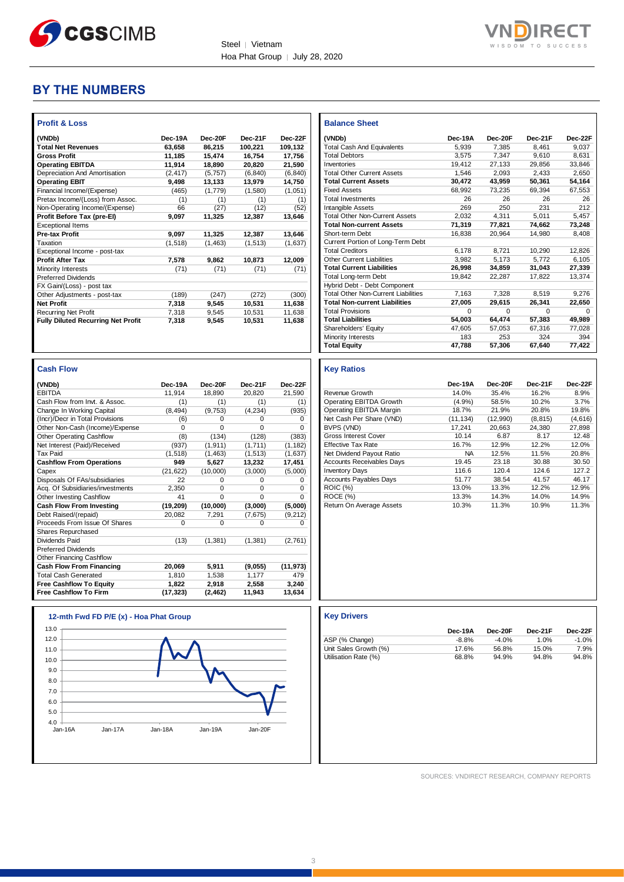



#### **BY THE NUMBERS**

| <b>Profit &amp; Loss</b>                  |          |          |          |          |
|-------------------------------------------|----------|----------|----------|----------|
| (VNDb)                                    | Dec-19A  | Dec-20F  | Dec-21F  | Dec-22F  |
| <b>Total Net Revenues</b>                 | 63.658   | 86.215   | 100.221  | 109.132  |
| <b>Gross Profit</b>                       | 11,185   | 15,474   | 16,754   | 17,756   |
| <b>Operating EBITDA</b>                   | 11,914   | 18,890   | 20,820   | 21,590   |
| Depreciation And Amortisation             | (2, 417) | (5.757)  | (6, 840) | (6, 840) |
| <b>Operating EBIT</b>                     | 9,498    | 13,133   | 13,979   | 14,750   |
| Financial Income/(Expense)                | (465)    | (1,779)  | (1,580)  | (1,051)  |
| Pretax Income/(Loss) from Assoc.          | (1)      | (1)      | (1)      | (1)      |
| Non-Operating Income/(Expense)            | 66       | (27)     | (12)     | (52)     |
| Profit Before Tax (pre-El)                | 9,097    | 11,325   | 12,387   | 13.646   |
| <b>Exceptional Items</b>                  |          |          |          |          |
| <b>Pre-tax Profit</b>                     | 9.097    | 11,325   | 12,387   | 13,646   |
| Taxation                                  | (1,518)  | (1, 463) | (1, 513) | (1,637)  |
| Exceptional Income - post-tax             |          |          |          |          |
| <b>Profit After Tax</b>                   | 7.578    | 9.862    | 10,873   | 12,009   |
| Minority Interests                        | (71)     | (71)     | (71)     | (71)     |
| <b>Preferred Dividends</b>                |          |          |          |          |
| FX Gain/(Loss) - post tax                 |          |          |          |          |
| Other Adjustments - post-tax              | (189)    | (247)    | (272)    | (300)    |
| <b>Net Profit</b>                         | 7,318    | 9,545    | 10,531   | 11,638   |
| <b>Recurring Net Profit</b>               | 7,318    | 9.545    | 10,531   | 11,638   |
| <b>Fully Diluted Recurring Net Profit</b> | 7,318    | 9.545    | 10,531   | 11,638   |
|                                           |          |          |          |          |
|                                           |          |          |          |          |
|                                           |          |          |          |          |

|  | w.<br>п | е |  |
|--|---------|---|--|
|--|---------|---|--|

| (VNDb)                           | Dec-19A   | Dec-20F  | Dec-21F  | Dec-22F   |
|----------------------------------|-----------|----------|----------|-----------|
| <b>EBITDA</b>                    | 11.914    | 18,890   | 20,820   | 21,590    |
| Cash Flow from Invt. & Assoc.    | (1)       | (1)      | (1)      | (1)       |
| Change In Working Capital        | (8, 494)  | (9,753)  | (4, 234) | (935)     |
| (Incr)/Decr in Total Provisions  | (6)       | 0        | 0        | 0         |
| Other Non-Cash (Income)/Expense  | $\Omega$  | $\Omega$ | $\Omega$ | $\Omega$  |
| <b>Other Operating Cashflow</b>  | (8)       | (134)    | (128)    | (383)     |
| Net Interest (Paid)/Received     | (937)     | (1, 911) | (1,711)  | (1, 182)  |
| <b>Tax Paid</b>                  | (1,518)   | (1, 463) | (1, 513) | (1,637)   |
| <b>Cashflow From Operations</b>  | 949       | 5,627    | 13,232   | 17,451    |
| Capex                            | (21, 622) | (10,000) | (3,000)  | (5,000)   |
| Disposals Of FAs/subsidiaries    | 22        | 0        | 0        | 0         |
| Acq. Of Subsidiaries/investments | 2.350     | 0        | $\Omega$ | 0         |
| Other Investing Cashflow         | 41        | $\Omega$ | $\Omega$ | $\Omega$  |
| <b>Cash Flow From Investing</b>  | (19,209)  | (10,000) | (3,000)  | (5,000)   |
| Debt Raised/(repaid)             | 20,082    | 7,291    | (7,675)  | (9,212)   |
| Proceeds From Issue Of Shares    | 0         | 0        | 0        | 0         |
| Shares Repurchased               |           |          |          |           |
| Dividends Paid                   | (13)      | (1, 381) | (1, 381) | (2,761)   |
| <b>Preferred Dividends</b>       |           |          |          |           |
| Other Financing Cashflow         |           |          |          |           |
| <b>Cash Flow From Financing</b>  | 20,069    | 5,911    | (9,055)  | (11, 973) |
| <b>Total Cash Generated</b>      | 1.810     | 1,538    | 1.177    | 479       |
| <b>Free Cashflow To Equity</b>   | 1,822     | 2,918    | 2,558    | 3,240     |
| <b>Free Cashflow To Firm</b>     | (17, 323) | (2, 462) | 11,943   | 13,634    |



| <b>Balance Sheet</b>                       |          |          |          |          |
|--------------------------------------------|----------|----------|----------|----------|
| (VNDb)                                     | Dec-19A  | Dec-20F  | Dec-21F  | Dec-22F  |
| <b>Total Cash And Equivalents</b>          | 5,939    | 7,385    | 8.461    | 9,037    |
| <b>Total Debtors</b>                       | 3.575    | 7.347    | 9.610    | 8.631    |
| Inventories                                | 19.412   | 27.133   | 29.856   | 33.846   |
| <b>Total Other Current Assets</b>          | 1,546    | 2.093    | 2.433    | 2.650    |
| <b>Total Current Assets</b>                | 30,472   | 43,959   | 50,361   | 54,164   |
| <b>Fixed Assets</b>                        | 68.992   | 73.235   | 69.394   | 67.553   |
| <b>Total Investments</b>                   | 26       | 26       | 26       | 26       |
| Intangible Assets                          | 269      | 250      | 231      | 212      |
| <b>Total Other Non-Current Assets</b>      | 2.032    | 4.311    | 5.011    | 5.457    |
| <b>Total Non-current Assets</b>            | 71.319   | 77.821   | 74.662   | 73.248   |
| Short-term Debt                            | 16,838   | 20,964   | 14.980   | 8,408    |
| Current Portion of Long-Term Debt          |          |          |          |          |
| <b>Total Creditors</b>                     | 6.178    | 8.721    | 10,290   | 12,826   |
| Other Current Liabilities                  | 3,982    | 5.173    | 5.772    | 6.105    |
| <b>Total Current Liabilities</b>           | 26.998   | 34,859   | 31,043   | 27,339   |
| <b>Total Long-term Debt</b>                | 19.842   | 22,287   | 17,822   | 13.374   |
| Hybrid Debt - Debt Component               |          |          |          |          |
| <b>Total Other Non-Current Liabilities</b> | 7,163    | 7,328    | 8,519    | 9,276    |
| <b>Total Non-current Liabilities</b>       | 27,005   | 29,615   | 26,341   | 22,650   |
| <b>Total Provisions</b>                    | $\Omega$ | $\Omega$ | $\Omega$ | $\Omega$ |
| <b>Total Liabilities</b>                   | 54.003   | 64.474   | 57,383   | 49,989   |
| Shareholders' Equity                       | 47.605   | 57.053   | 67.316   | 77,028   |
| Minority Interests                         | 183      | 253      | 324      | 394      |
| <b>Total Equity</b>                        | 47.788   | 57.306   | 67.640   | 77.422   |

#### **Key Ratios**

|                                  | Dec-19A   | Dec-20F  | Dec-21F  | Dec-22F |
|----------------------------------|-----------|----------|----------|---------|
| Revenue Growth                   | 14.0%     | 35.4%    | 16.2%    | 8.9%    |
| Operating EBITDA Growth          | (4.9%)    | 58.5%    | 10.2%    | 3.7%    |
| Operating EBITDA Margin          | 18.7%     | 21.9%    | 20.8%    | 19.8%   |
| Net Cash Per Share (VND)         | (11, 134) | (12,990) | (8, 815) | (4,616) |
| BVPS (VND)                       | 17.241    | 20.663   | 24.380   | 27.898  |
| <b>Gross Interest Cover</b>      | 10.14     | 6.87     | 8.17     | 12.48   |
| <b>Effective Tax Rate</b>        | 16.7%     | 12.9%    | 12.2%    | 12.0%   |
| Net Dividend Payout Ratio        | <b>NA</b> | 12.5%    | 11.5%    | 20.8%   |
| <b>Accounts Receivables Days</b> | 19.45     | 23.18    | 30.88    | 30.50   |
| <b>Inventory Days</b>            | 116.6     | 120.4    | 124.6    | 127.2   |
| <b>Accounts Payables Days</b>    | 51.77     | 38.54    | 41.57    | 46.17   |
| <b>ROIC (%)</b>                  | 13.0%     | 13.3%    | 12.2%    | 12.9%   |
| <b>ROCE (%)</b>                  | 13.3%     | 14.3%    | 14.0%    | 14.9%   |
| Return On Average Assets         | 10.3%     | 11.3%    | 10.9%    | 11.3%   |

| <b>Key Drivers</b>    |         |         |         |         |
|-----------------------|---------|---------|---------|---------|
|                       |         |         |         |         |
|                       | Dec-19A | Dec-20F | Dec-21F | Dec-22F |
| ASP (% Change)        | $-8.8%$ | $-4.0%$ | 1.0%    | $-1.0%$ |
| Unit Sales Growth (%) | 17.6%   | 56.8%   | 15.0%   | 7.9%    |
| Utilisation Rate (%)  | 68.8%   | 94.9%   | 94.8%   | 94.8%   |
|                       |         |         |         |         |
|                       |         |         |         |         |
|                       |         |         |         |         |
|                       |         |         |         |         |
|                       |         |         |         |         |
|                       |         |         |         |         |
|                       |         |         |         |         |
|                       |         |         |         |         |
|                       |         |         |         |         |
|                       |         |         |         |         |

SOURCES: VNDIRECT RESEARCH, COMPANY REPORTS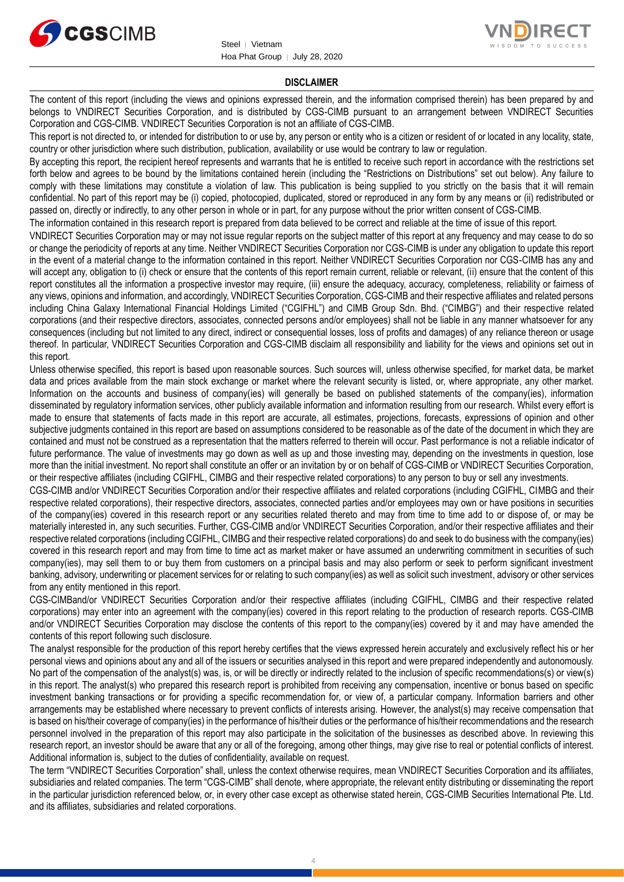



#### **DISCLAIMER**

The content of this report (including the views and opinions expressed therein, and the information comprised therein) has been prepared by and belongs to VNDIRECT Securities Corporation, and is distributed by CGS-CIMB pursuant to an arrangement between VNDIRECT Securities Corporation and CGS-CIMB. VNDIRECT Securities Corporation is not an affiliate of CGS-CIMB.

This report is not directed to, or intended for distribution to or use by, any person or entity who is a citizen or resident of or located in any locality, state, country or other jurisdiction where such distribution, publication, availability or use would be contrary to law or regulation.

By accepting this report, the recipient hereof represents and warrants that he is entitled to receive such report in accordance with the restrictions set forth below and agrees to be bound by the limitations contained herein (including the "Restrictions on Distributions" set out below). Any failure to comply with these limitations may constitute a violation of law. This publication is being supplied to you strictly on the basis that it will remain confidential. No part of this report may be (i) copied, photocopied, duplicated, stored or reproduced in any form by any means or (ii) redistributed or passed on, directly or indirectly, to any other person in whole or in part, for any purpose without the prior written consent of CGS-CIMB.

The information contained in this research report is prepared from data believed to be correct and reliable at the time of issue of this report.

VNDIRECT Securities Corporation may or may not issue regular reports on the subject matter of this report at any frequency and may cease to do so or change the periodicity of reports at any time. Neither VNDIRECT Securities Corporation nor CGS-CIMB is under any obligation to update this report in the event of a material change to the information contained in this report. Neither VNDIRECT Securities Corporation nor CGS-CIMB has any and will accept any, obligation to (i) check or ensure that the contents of this report remain current, reliable or relevant, (ii) ensure that the content of this report constitutes all the information a prospective investor may require, (iii) ensure the adequacy, accuracy, completeness, reliability or fairness of any views, opinions and information, and accordingly, VNDIRECT Securities Corporation, CGS-CIMB and their respective affiliates and related persons including China Galaxy International Financial Holdings Limited ("CGIFHL") and CIMB Group Sdn. Bhd. ("CIMBG") and their respective related corporations (and their respective directors, associates, connected persons and/or employees) shall not be liable in any manner whatsoever for any consequences (including but not limited to any direct, indirect or consequential losses, loss of profits and damages) of any reliance thereon or usage thereof. In particular, VNDIRECT Securities Corporation and CGS-CIMB disclaim all responsibility and liability for the views and opinions set out in this report.

Unless otherwise specified, this report is based upon reasonable sources. Such sources will, unless otherwise specified, for market data, be market data and prices available from the main stock exchange or market where the relevant security is listed, or, where appropriate, any other market. Information on the accounts and business of company(ies) will generally be based on published statements of the company(ies), information disseminated by regulatory information services, other publicly available information and information resulting from our research. Whilst every effort is made to ensure that statements of facts made in this report are accurate, all estimates, projections, forecasts, expressions of opinion and other subjective judgments contained in this report are based on assumptions considered to be reasonable as of the date of the document in which they are contained and must not be construed as a representation that the matters referred to therein will occur. Past performance is not a reliable indicator of future performance. The value of investments may go down as well as up and those investing may, depending on the investments in question, lose more than the initial investment. No report shall constitute an offer or an invitation by or on behalf of CGS-CIMB or VNDIRECT Securities Corporation, or their respective affiliates (including CGIFHL, CIMBG and their respective related corporations) to any person to buy or sell any investments.

CGS-CIMB and/or VNDIRECT Securities Corporation and/or their respective affiliates and related corporations (including CGIFHL, CIMBG and their respective related corporations), their respective directors, associates, connected parties and/or employees may own or have positions in securities of the company(ies) covered in this research report or any securities related thereto and may from time to time add to or dispose of, or may be materially interested in, any such securities. Further, CGS-CIMB and/or VNDIRECT Securities Corporation, and/or their respective affiliates and their respective related corporations (including CGIFHL, CIMBG and their respective related corporations) do and seek to do business with the company(ies) covered in this research report and may from time to time act as market maker or have assumed an underwriting commitment in securities of such company(ies), may sell them to or buy them from customers on a principal basis and may also perform or seek to perform significant investment banking, advisory, underwriting or placement services for or relating to such company(ies) as well as solicit such investment, advisory or other services from any entity mentioned in this report.

CGS-CIMBand/or VNDIRECT Securities Corporation and/or their respective affiliates (including CGIFHL, CIMBG and their respective related corporations) may enter into an agreement with the company(ies) covered in this report relating to the production of research reports. CGS-CIMB and/or VNDIRECT Securities Corporation may disclose the contents of this report to the company(ies) covered by it and may have amended the contents of this report following such disclosure.

The analyst responsible for the production of this report hereby certifies that the views expressed herein accurately and exclusively reflect his or her personal views and opinions about any and all of the issuers or securities analysed in this report and were prepared independently and autonomously. No part of the compensation of the analyst(s) was, is, or will be directly or indirectly related to the inclusion of specific recommendations(s) or view(s) in this report. The analyst(s) who prepared this research report is prohibited from receiving any compensation, incentive or bonus based on specific investment banking transactions or for providing a specific recommendation for, or view of, a particular company. Information barriers and other arrangements may be established where necessary to prevent conflicts of interests arising. However, the analyst(s) may receive compensation that is based on his/their coverage of company(ies) in the performance of his/their duties or the performance of his/their recommendations and the research personnel involved in the preparation of this report may also participate in the solicitation of the businesses as described above. In reviewing this research report, an investor should be aware that any or all of the foregoing, among other things, may give rise to real or potential conflicts of interest. Additional information is, subject to the duties of confidentiality, available on request.

The term "VNDIRECT Securities Corporation" shall, unless the context otherwise requires, mean VNDIRECT Securities Corporation and its affiliates, subsidiaries and related companies. The term "CGS-CIMB" shall denote, where appropriate, the relevant entity distributing or disseminating the report in the particular jurisdiction referenced below, or, in every other case except as otherwise stated herein, CGS-CIMB Securities International Pte. Ltd. and its affiliates, subsidiaries and related corporations.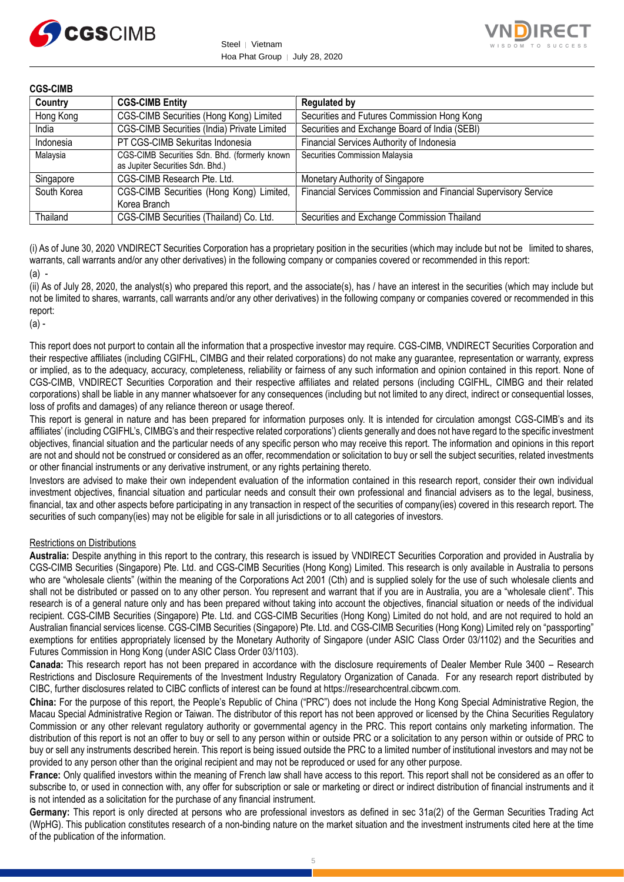



#### **CGS-CIMB**

| Country     | <b>CGS-CIMB Entity</b>                                                            | <b>Regulated by</b>                                             |
|-------------|-----------------------------------------------------------------------------------|-----------------------------------------------------------------|
| Hong Kong   | CGS-CIMB Securities (Hong Kong) Limited                                           | Securities and Futures Commission Hong Kong                     |
| India       | CGS-CIMB Securities (India) Private Limited                                       | Securities and Exchange Board of India (SEBI)                   |
| Indonesia   | PT CGS-CIMB Sekuritas Indonesia                                                   | Financial Services Authority of Indonesia                       |
| Malaysia    | CGS-CIMB Securities Sdn. Bhd. (formerly known<br>as Jupiter Securities Sdn. Bhd.) | Securities Commission Malaysia                                  |
| Singapore   | CGS-CIMB Research Pte. Ltd.                                                       | Monetary Authority of Singapore                                 |
| South Korea | CGS-CIMB Securities (Hong Kong) Limited,<br>Korea Branch                          | Financial Services Commission and Financial Supervisory Service |
| Thailand    | CGS-CIMB Securities (Thailand) Co. Ltd.                                           | Securities and Exchange Commission Thailand                     |

(i) As of June 30, 2020 VNDIRECT Securities Corporation has a proprietary position in the securities (which may include but not be limited to shares, warrants, call warrants and/or any other derivatives) in the following company or companies covered or recommended in this report: (a) -

(ii) As of July 28, 2020, the analyst(s) who prepared this report, and the associate(s), has / have an interest in the securities (which may include but not be limited to shares, warrants, call warrants and/or any other derivatives) in the following company or companies covered or recommended in this report:

(a) -

This report does not purport to contain all the information that a prospective investor may require. CGS-CIMB, VNDIRECT Securities Corporation and their respective affiliates (including CGIFHL, CIMBG and their related corporations) do not make any guarantee, representation or warranty, express or implied, as to the adequacy, accuracy, completeness, reliability or fairness of any such information and opinion contained in this report. None of CGS-CIMB, VNDIRECT Securities Corporation and their respective affiliates and related persons (including CGIFHL, CIMBG and their related corporations) shall be liable in any manner whatsoever for any consequences (including but not limited to any direct, indirect or consequential losses, loss of profits and damages) of any reliance thereon or usage thereof.

This report is general in nature and has been prepared for information purposes only. It is intended for circulation amongst CGS-CIMB's and its affiliates' (including CGIFHL's, CIMBG's and their respective related corporations') clients generally and does not have regard to the specific investment objectives, financial situation and the particular needs of any specific person who may receive this report. The information and opinions in this report are not and should not be construed or considered as an offer, recommendation or solicitation to buy or sell the subject securities, related investments or other financial instruments or any derivative instrument, or any rights pertaining thereto.

Investors are advised to make their own independent evaluation of the information contained in this research report, consider their own individual investment objectives, financial situation and particular needs and consult their own professional and financial advisers as to the legal, business, financial, tax and other aspects before participating in any transaction in respect of the securities of company(ies) covered in this research report. The securities of such company(ies) may not be eligible for sale in all jurisdictions or to all categories of investors.

#### Restrictions on Distributions

**Australia:** Despite anything in this report to the contrary, this research is issued by VNDIRECT Securities Corporation and provided in Australia by CGS-CIMB Securities (Singapore) Pte. Ltd. and CGS-CIMB Securities (Hong Kong) Limited. This research is only available in Australia to persons who are "wholesale clients" (within the meaning of the Corporations Act 2001 (Cth) and is supplied solely for the use of such wholesale clients and shall not be distributed or passed on to any other person. You represent and warrant that if you are in Australia, you are a "wholesale client". This research is of a general nature only and has been prepared without taking into account the objectives, financial situation or needs of the individual recipient. CGS-CIMB Securities (Singapore) Pte. Ltd. and CGS-CIMB Securities (Hong Kong) Limited do not hold, and are not required to hold an Australian financial services license. CGS-CIMB Securities (Singapore) Pte. Ltd. and CGS-CIMB Securities (Hong Kong) Limited rely on "passporting" exemptions for entities appropriately licensed by the Monetary Authority of Singapore (under ASIC Class Order 03/1102) and the Securities and Futures Commission in Hong Kong (under ASIC Class Order 03/1103).

**Canada:** This research report has not been prepared in accordance with the disclosure requirements of Dealer Member Rule 3400 – Research Restrictions and Disclosure Requirements of the Investment Industry Regulatory Organization of Canada. For any research report distributed by CIBC, further disclosures related to CIBC conflicts of interest can be found at https://researchcentral.cibcwm.com.

**China:** For the purpose of this report, the People's Republic of China ("PRC") does not include the Hong Kong Special Administrative Region, the Macau Special Administrative Region or Taiwan. The distributor of this report has not been approved or licensed by the China Securities Regulatory Commission or any other relevant regulatory authority or governmental agency in the PRC. This report contains only marketing information. The distribution of this report is not an offer to buy or sell to any person within or outside PRC or a solicitation to any person within or outside of PRC to buy or sell any instruments described herein. This report is being issued outside the PRC to a limited number of institutional investors and may not be provided to any person other than the original recipient and may not be reproduced or used for any other purpose.

**France:** Only qualified investors within the meaning of French law shall have access to this report. This report shall not be considered as an offer to subscribe to, or used in connection with, any offer for subscription or sale or marketing or direct or indirect distribution of financial instruments and it is not intended as a solicitation for the purchase of any financial instrument.

Germany: This report is only directed at persons who are professional investors as defined in sec 31a(2) of the German Securities Trading Act (WpHG). This publication constitutes research of a non-binding nature on the market situation and the investment instruments cited here at the time of the publication of the information.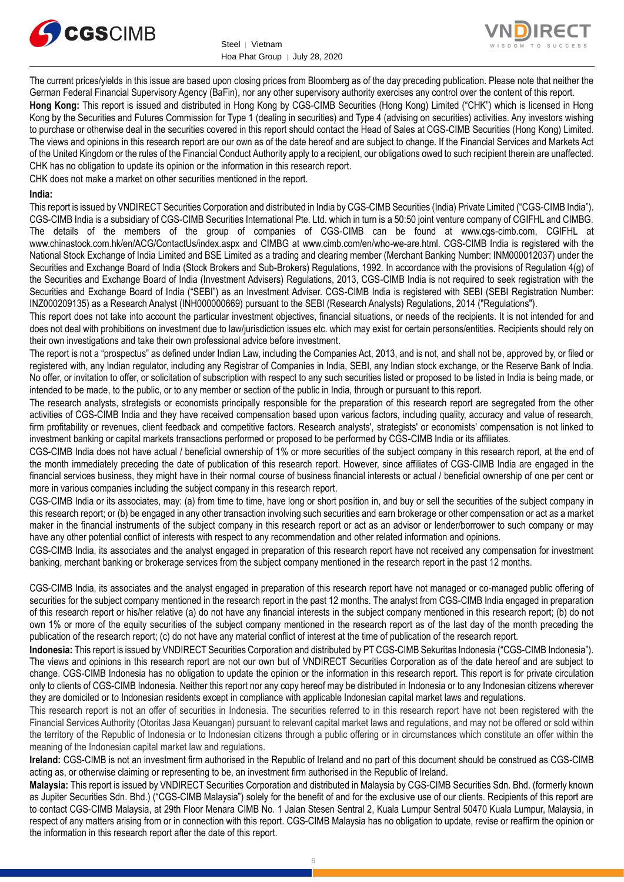



The current prices/yields in this issue are based upon closing prices from Bloomberg as of the day preceding publication. Please note that neither the German Federal Financial Supervisory Agency (BaFin), nor any other supervisory authority exercises any control over the content of this report.

**Hong Kong:** This report is issued and distributed in Hong Kong by CGS-CIMB Securities (Hong Kong) Limited ("CHK") which is licensed in Hong Kong by the Securities and Futures Commission for Type 1 (dealing in securities) and Type 4 (advising on securities) activities. Any investors wishing to purchase or otherwise deal in the securities covered in this report should contact the Head of Sales at CGS-CIMB Securities (Hong Kong) Limited. The views and opinions in this research report are our own as of the date hereof and are subject to change. If the Financial Services and Markets Act of the United Kingdom or the rules of the Financial Conduct Authority apply to a recipient, our obligations owed to such recipient therein are unaffected. CHK has no obligation to update its opinion or the information in this research report.

CHK does not make a market on other securities mentioned in the report.

#### **India:**

This report is issued by VNDIRECT Securities Corporation and distributed in India by CGS-CIMB Securities (India) Private Limited ("CGS-CIMB India"). CGS-CIMB India is a subsidiary of CGS-CIMB Securities International Pte. Ltd. which in turn is a 50:50 joint venture company of CGIFHL and CIMBG. The details of the members of the group of companies of CGS-CIMB can be found at www.cgs-cimb.com, CGIFHL at www.chinastock.com.hk/en/ACG/ContactUs/index.aspx and CIMBG at www.cimb.com/en/who-we-are.html. CGS-CIMB India is registered with the National Stock Exchange of India Limited and BSE Limited as a trading and clearing member (Merchant Banking Number: INM000012037) under the Securities and Exchange Board of India (Stock Brokers and Sub-Brokers) Regulations, 1992. In accordance with the provisions of Regulation 4(g) of the Securities and Exchange Board of India (Investment Advisers) Regulations, 2013, CGS-CIMB India is not required to seek registration with the Securities and Exchange Board of India ("SEBI") as an Investment Adviser. CGS-CIMB India is registered with SEBI (SEBI Registration Number: INZ000209135) as a Research Analyst (INH000000669) pursuant to the SEBI (Research Analysts) Regulations, 2014 ("Regulations").

This report does not take into account the particular investment objectives, financial situations, or needs of the recipients. It is not intended for and does not deal with prohibitions on investment due to law/jurisdiction issues etc. which may exist for certain persons/entities. Recipients should rely on their own investigations and take their own professional advice before investment.

The report is not a "prospectus" as defined under Indian Law, including the Companies Act, 2013, and is not, and shall not be, approved by, or filed or registered with, any Indian regulator, including any Registrar of Companies in India, SEBI, any Indian stock exchange, or the Reserve Bank of India. No offer, or invitation to offer, or solicitation of subscription with respect to any such securities listed or proposed to be listed in India is being made, or intended to be made, to the public, or to any member or section of the public in India, through or pursuant to this report.

The research analysts, strategists or economists principally responsible for the preparation of this research report are segregated from the other activities of CGS-CIMB India and they have received compensation based upon various factors, including quality, accuracy and value of research, firm profitability or revenues, client feedback and competitive factors. Research analysts', strategists' or economists' compensation is not linked to investment banking or capital markets transactions performed or proposed to be performed by CGS-CIMB India or its affiliates.

CGS-CIMB India does not have actual / beneficial ownership of 1% or more securities of the subject company in this research report, at the end of the month immediately preceding the date of publication of this research report. However, since affiliates of CGS-CIMB India are engaged in the financial services business, they might have in their normal course of business financial interests or actual / beneficial ownership of one per cent or more in various companies including the subject company in this research report.

CGS-CIMB India or its associates, may: (a) from time to time, have long or short position in, and buy or sell the securities of the subject company in this research report; or (b) be engaged in any other transaction involving such securities and earn brokerage or other compensation or act as a market maker in the financial instruments of the subject company in this research report or act as an advisor or lender/borrower to such company or may have any other potential conflict of interests with respect to any recommendation and other related information and opinions.

CGS-CIMB India, its associates and the analyst engaged in preparation of this research report have not received any compensation for investment banking, merchant banking or brokerage services from the subject company mentioned in the research report in the past 12 months.

CGS-CIMB India, its associates and the analyst engaged in preparation of this research report have not managed or co-managed public offering of securities for the subject company mentioned in the research report in the past 12 months. The analyst from CGS-CIMB India engaged in preparation of this research report or his/her relative (a) do not have any financial interests in the subject company mentioned in this research report; (b) do not own 1% or more of the equity securities of the subject company mentioned in the research report as of the last day of the month preceding the publication of the research report; (c) do not have any material conflict of interest at the time of publication of the research report.

**Indonesia:** This report is issued by VNDIRECT Securities Corporation and distributed by PT CGS-CIMB Sekuritas Indonesia ("CGS-CIMB Indonesia"). The views and opinions in this research report are not our own but of VNDIRECT Securities Corporation as of the date hereof and are subject to change. CGS-CIMB Indonesia has no obligation to update the opinion or the information in this research report. This report is for private circulation only to clients of CGS-CIMB Indonesia. Neither this report nor any copy hereof may be distributed in Indonesia or to any Indonesian citizens wherever they are domiciled or to Indonesian residents except in compliance with applicable Indonesian capital market laws and regulations.

This research report is not an offer of securities in Indonesia. The securities referred to in this research report have not been registered with the Financial Services Authority (Otoritas Jasa Keuangan) pursuant to relevant capital market laws and regulations, and may not be offered or sold within the territory of the Republic of Indonesia or to Indonesian citizens through a public offering or in circumstances which constitute an offer within the meaning of the Indonesian capital market law and regulations.

**Ireland:** CGS-CIMB is not an investment firm authorised in the Republic of Ireland and no part of this document should be construed as CGS-CIMB acting as, or otherwise claiming or representing to be, an investment firm authorised in the Republic of Ireland.

**Malaysia:** This report is issued by VNDIRECT Securities Corporation and distributed in Malaysia by CGS-CIMB Securities Sdn. Bhd. (formerly known as Jupiter Securities Sdn. Bhd.) ("CGS-CIMB Malaysia") solely for the benefit of and for the exclusive use of our clients. Recipients of this report are to contact CGS-CIMB Malaysia, at 29th Floor Menara CIMB No. 1 Jalan Stesen Sentral 2, Kuala Lumpur Sentral 50470 Kuala Lumpur, Malaysia, in respect of any matters arising from or in connection with this report. CGS-CIMB Malaysia has no obligation to update, revise or reaffirm the opinion or the information in this research report after the date of this report.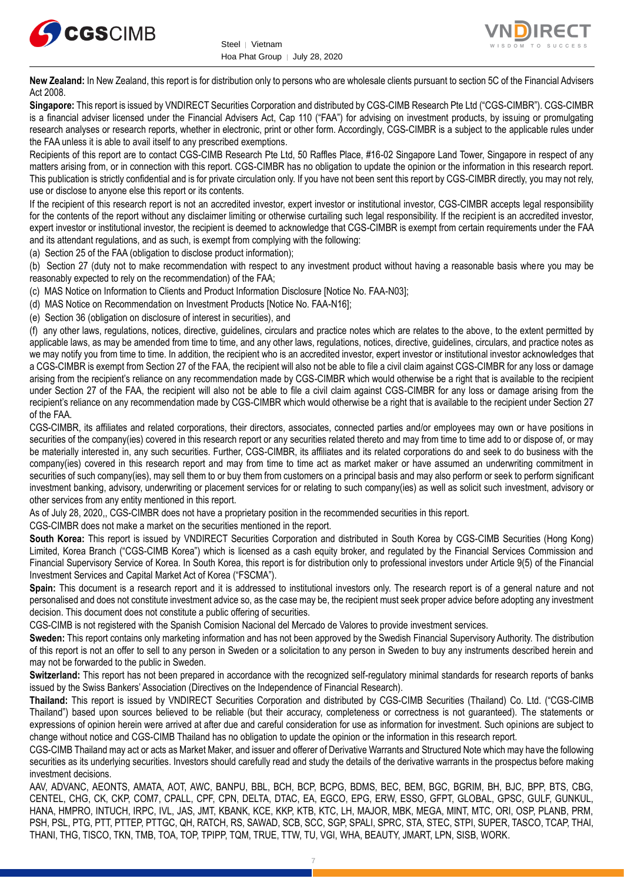



**New Zealand:** In New Zealand, this report is for distribution only to persons who are wholesale clients pursuant to section 5C of the Financial Advisers Act 2008.

**Singapore:** This report is issued by VNDIRECT Securities Corporation and distributed by CGS-CIMB Research Pte Ltd ("CGS-CIMBR"). CGS-CIMBR is a financial adviser licensed under the Financial Advisers Act, Cap 110 ("FAA") for advising on investment products, by issuing or promulgating research analyses or research reports, whether in electronic, print or other form. Accordingly, CGS-CIMBR is a subject to the applicable rules under the FAA unless it is able to avail itself to any prescribed exemptions.

Recipients of this report are to contact CGS-CIMB Research Pte Ltd, 50 Raffles Place, #16-02 Singapore Land Tower, Singapore in respect of any matters arising from, or in connection with this report. CGS-CIMBR has no obligation to update the opinion or the information in this research report. This publication is strictly confidential and is for private circulation only. If you have not been sent this report by CGS-CIMBR directly, you may not rely, use or disclose to anyone else this report or its contents.

If the recipient of this research report is not an accredited investor, expert investor or institutional investor, CGS-CIMBR accepts legal responsibility for the contents of the report without any disclaimer limiting or otherwise curtailing such legal responsibility. If the recipient is an accredited investor, expert investor or institutional investor, the recipient is deemed to acknowledge that CGS-CIMBR is exempt from certain requirements under the FAA and its attendant regulations, and as such, is exempt from complying with the following:

(a) Section 25 of the FAA (obligation to disclose product information);

(b) Section 27 (duty not to make recommendation with respect to any investment product without having a reasonable basis where you may be reasonably expected to rely on the recommendation) of the FAA;

(c) MAS Notice on Information to Clients and Product Information Disclosure [Notice No. FAA-N03];

(d) MAS Notice on Recommendation on Investment Products [Notice No. FAA-N16];

(e) Section 36 (obligation on disclosure of interest in securities), and

(f) any other laws, regulations, notices, directive, guidelines, circulars and practice notes which are relates to the above, to the extent permitted by applicable laws, as may be amended from time to time, and any other laws, regulations, notices, directive, guidelines, circulars, and practice notes as we may notify you from time to time. In addition, the recipient who is an accredited investor, expert investor or institutional investor acknowledges that a CGS-CIMBR is exempt from Section 27 of the FAA, the recipient will also not be able to file a civil claim against CGS-CIMBR for any loss or damage arising from the recipient's reliance on any recommendation made by CGS-CIMBR which would otherwise be a right that is available to the recipient under Section 27 of the FAA, the recipient will also not be able to file a civil claim against CGS-CIMBR for any loss or damage arising from the recipient's reliance on any recommendation made by CGS-CIMBR which would otherwise be a right that is available to the recipient under Section 27 of the FAA.

CGS-CIMBR, its affiliates and related corporations, their directors, associates, connected parties and/or employees may own or have positions in securities of the company(ies) covered in this research report or any securities related thereto and may from time to time add to or dispose of, or may be materially interested in, any such securities. Further, CGS-CIMBR, its affiliates and its related corporations do and seek to do business with the company(ies) covered in this research report and may from time to time act as market maker or have assumed an underwriting commitment in securities of such company(ies), may sell them to or buy them from customers on a principal basis and may also perform or seek to perform significant investment banking, advisory, underwriting or placement services for or relating to such company(ies) as well as solicit such investment, advisory or other services from any entity mentioned in this report.

As of July 28, 2020,, CGS-CIMBR does not have a proprietary position in the recommended securities in this report.

CGS-CIMBR does not make a market on the securities mentioned in the report.

**South Korea:** This report is issued by VNDIRECT Securities Corporation and distributed in South Korea by CGS-CIMB Securities (Hong Kong) Limited, Korea Branch ("CGS-CIMB Korea") which is licensed as a cash equity broker, and regulated by the Financial Services Commission and Financial Supervisory Service of Korea. In South Korea, this report is for distribution only to professional investors under Article 9(5) of the Financial Investment Services and Capital Market Act of Korea ("FSCMA").

**Spain:** This document is a research report and it is addressed to institutional investors only. The research report is of a general nature and not personalised and does not constitute investment advice so, as the case may be, the recipient must seek proper advice before adopting any investment decision. This document does not constitute a public offering of securities.

CGS-CIMB is not registered with the Spanish Comision Nacional del Mercado de Valores to provide investment services.

**Sweden:** This report contains only marketing information and has not been approved by the Swedish Financial Supervisory Authority. The distribution of this report is not an offer to sell to any person in Sweden or a solicitation to any person in Sweden to buy any instruments described herein and may not be forwarded to the public in Sweden.

**Switzerland:** This report has not been prepared in accordance with the recognized self-regulatory minimal standards for research reports of banks issued by the Swiss Bankers' Association (Directives on the Independence of Financial Research).

**Thailand:** This report is issued by VNDIRECT Securities Corporation and distributed by CGS-CIMB Securities (Thailand) Co. Ltd. ("CGS-CIMB Thailand") based upon sources believed to be reliable (but their accuracy, completeness or correctness is not guaranteed). The statements or expressions of opinion herein were arrived at after due and careful consideration for use as information for investment. Such opinions are subject to change without notice and CGS-CIMB Thailand has no obligation to update the opinion or the information in this research report.

CGS-CIMB Thailand may act or acts as Market Maker, and issuer and offerer of Derivative Warrants and Structured Note which may have the following securities as its underlying securities. Investors should carefully read and study the details of the derivative warrants in the prospectus before making investment decisions.

AAV, ADVANC, AEONTS, AMATA, AOT, AWC, BANPU, BBL, BCH, BCP, BCPG, BDMS, BEC, BEM, BGC, BGRIM, BH, BJC, BPP, BTS, CBG, CENTEL, CHG, CK, CKP, COM7, CPALL, CPF, CPN, DELTA, DTAC, EA, EGCO, EPG, ERW, ESSO, GFPT, GLOBAL, GPSC, GULF, GUNKUL, HANA, HMPRO, INTUCH, IRPC, IVL, JAS, JMT, KBANK, KCE, KKP, KTB, KTC, LH, MAJOR, MBK, MEGA, MINT, MTC, ORI, OSP, PLANB, PRM, PSH, PSL, PTG, PTT, PTTEP, PTTGC, QH, RATCH, RS, SAWAD, SCB, SCC, SGP, SPALI, SPRC, STA, STEC, STPI, SUPER, TASCO, TCAP, THAI, THANI, THG, TISCO, TKN, TMB, TOA, TOP, TPIPP, TQM, TRUE, TTW, TU, VGI, WHA, BEAUTY, JMART, LPN, SISB, WORK.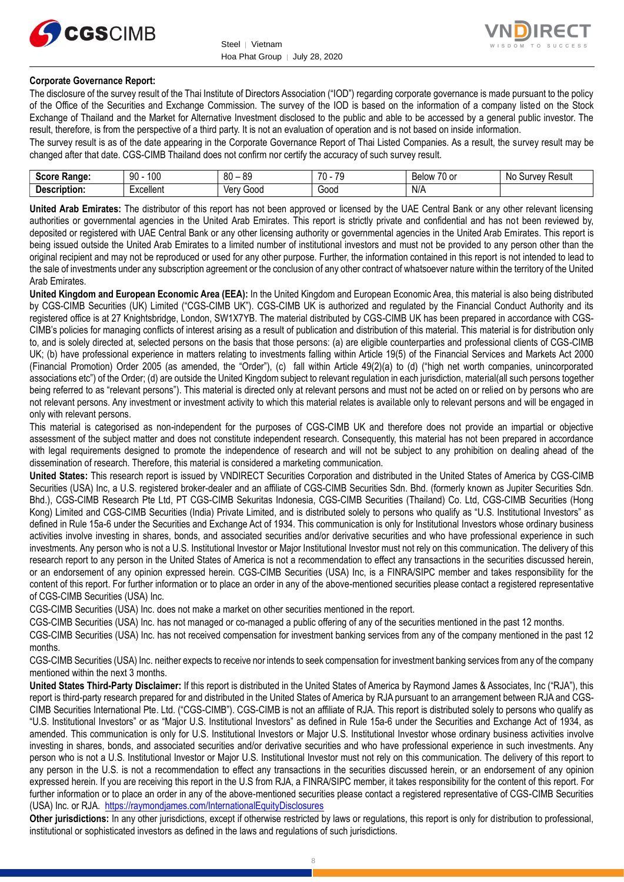



#### **Corporate Governance Report:**

The disclosure of the survey result of the Thai Institute of Directors Association ("IOD") regarding corporate governance is made pursuant to the policy of the Office of the Securities and Exchange Commission. The survey of the IOD is based on the information of a company listed on the Stock Exchange of Thailand and the Market for Alternative Investment disclosed to the public and able to be accessed by a general public investor. The result, therefore, is from the perspective of a third party. It is not an evaluation of operation and is not based on inside information.

The survey result is as of the date appearing in the Corporate Governance Report of Thai Listed Companies. As a result, the survey result may be changed after that date. CGS-CIMB Thailand does not confirm nor certify the accuracy of such survey result.

| <b>Score</b><br>Range: | 100<br>90<br>טע | RΛ<br>or<br>x.<br>υv<br>ັບ | 70<br>$\overline{\phantom{a}}$<br>- 11<br>. پ | $\overline{\phantom{a}}$<br>-<br>$\sim$<br><b>Below</b><br>י טי | No<br>Result<br><b>Jurvey</b> |
|------------------------|-----------------|----------------------------|-----------------------------------------------|-----------------------------------------------------------------|-------------------------------|
| -<br>Description:      | Excellent       | 000خ<br>Verv               | -<br>Good                                     | N/A                                                             |                               |

**United Arab Emirates:** The distributor of this report has not been approved or licensed by the UAE Central Bank or any other relevant licensing authorities or governmental agencies in the United Arab Emirates. This report is strictly private and confidential and has not been reviewed by, deposited or registered with UAE Central Bank or any other licensing authority or governmental agencies in the United Arab Emirates. This report is being issued outside the United Arab Emirates to a limited number of institutional investors and must not be provided to any person other than the original recipient and may not be reproduced or used for any other purpose. Further, the information contained in this report is not intended to lead to the sale of investments under any subscription agreement or the conclusion of any other contract of whatsoever nature within the territory of the United Arab Emirates.

**United Kingdom and European Economic Area (EEA):** In the United Kingdom and European Economic Area, this material is also being distributed by CGS-CIMB Securities (UK) Limited ("CGS-CIMB UK"). CGS-CIMB UK is authorized and regulated by the Financial Conduct Authority and its registered office is at 27 Knightsbridge, London, SW1X7YB. The material distributed by CGS-CIMB UK has been prepared in accordance with CGS-CIMB's policies for managing conflicts of interest arising as a result of publication and distribution of this material. This material is for distribution only to, and is solely directed at, selected persons on the basis that those persons: (a) are eligible counterparties and professional clients of CGS-CIMB UK; (b) have professional experience in matters relating to investments falling within Article 19(5) of the Financial Services and Markets Act 2000 (Financial Promotion) Order 2005 (as amended, the "Order"), (c) fall within Article 49(2)(a) to (d) ("high net worth companies, unincorporated associations etc") of the Order; (d) are outside the United Kingdom subject to relevant regulation in each jurisdiction, material(all such persons together being referred to as "relevant persons"). This material is directed only at relevant persons and must not be acted on or relied on by persons who are not relevant persons. Any investment or investment activity to which this material relates is available only to relevant persons and will be engaged in only with relevant persons.

This material is categorised as non-independent for the purposes of CGS-CIMB UK and therefore does not provide an impartial or objective assessment of the subject matter and does not constitute independent research. Consequently, this material has not been prepared in accordance with legal requirements designed to promote the independence of research and will not be subject to any prohibition on dealing ahead of the dissemination of research. Therefore, this material is considered a marketing communication.

**United States:** This research report is issued by VNDIRECT Securities Corporation and distributed in the United States of America by CGS-CIMB Securities (USA) Inc, a U.S. registered broker-dealer and an affiliate of CGS-CIMB Securities Sdn. Bhd. (formerly known as Jupiter Securities Sdn. Bhd.), CGS-CIMB Research Pte Ltd, PT CGS-CIMB Sekuritas Indonesia, CGS-CIMB Securities (Thailand) Co. Ltd, CGS-CIMB Securities (Hong Kong) Limited and CGS-CIMB Securities (India) Private Limited, and is distributed solely to persons who qualify as "U.S. Institutional Investors" as defined in Rule 15a-6 under the Securities and Exchange Act of 1934. This communication is only for Institutional Investors whose ordinary business activities involve investing in shares, bonds, and associated securities and/or derivative securities and who have professional experience in such investments. Any person who is not a U.S. Institutional Investor or Major Institutional Investor must not rely on this communication. The delivery of this research report to any person in the United States of America is not a recommendation to effect any transactions in the securities discussed herein, or an endorsement of any opinion expressed herein. CGS-CIMB Securities (USA) Inc, is a FINRA/SIPC member and takes responsibility for the content of this report. For further information or to place an order in any of the above-mentioned securities please contact a registered representative of CGS-CIMB Securities (USA) Inc.

CGS-CIMB Securities (USA) Inc. does not make a market on other securities mentioned in the report.

CGS-CIMB Securities (USA) Inc. has not managed or co-managed a public offering of any of the securities mentioned in the past 12 months.

CGS-CIMB Securities (USA) Inc. has not received compensation for investment banking services from any of the company mentioned in the past 12 months.

CGS-CIMB Securities (USA) Inc. neither expects to receive nor intends to seek compensation for investment banking services from any of the company mentioned within the next 3 months.

**United States Third-Party Disclaimer:** If this report is distributed in the United States of America by Raymond James & Associates, Inc ("RJA"), this report is third-party research prepared for and distributed in the United States of America by RJA pursuant to an arrangement between RJA and CGS-CIMB Securities International Pte. Ltd. ("CGS-CIMB"). CGS-CIMB is not an affiliate of RJA. This report is distributed solely to persons who qualify as "U.S. Institutional Investors" or as "Major U.S. Institutional Investors" as defined in Rule 15a-6 under the Securities and Exchange Act of 1934, as amended. This communication is only for U.S. Institutional Investors or Major U.S. Institutional Investor whose ordinary business activities involve investing in shares, bonds, and associated securities and/or derivative securities and who have professional experience in such investments. Any person who is not a U.S. Institutional Investor or Major U.S. Institutional Investor must not rely on this communication. The delivery of this report to any person in the U.S. is not a recommendation to effect any transactions in the securities discussed herein, or an endorsement of any opinion expressed herein. If you are receiving this report in the U.S from RJA, a FINRA/SIPC member, it takes responsibility for the content of this report. For further information or to place an order in any of the above-mentioned securities please contact a registered representative of CGS-CIMB Securities (USA) Inc. or RJA. <https://raymondjames.com/InternationalEquityDisclosures>

**Other jurisdictions:** In any other jurisdictions, except if otherwise restricted by laws or regulations, this report is only for distribution to professional, institutional or sophisticated investors as defined in the laws and regulations of such jurisdictions.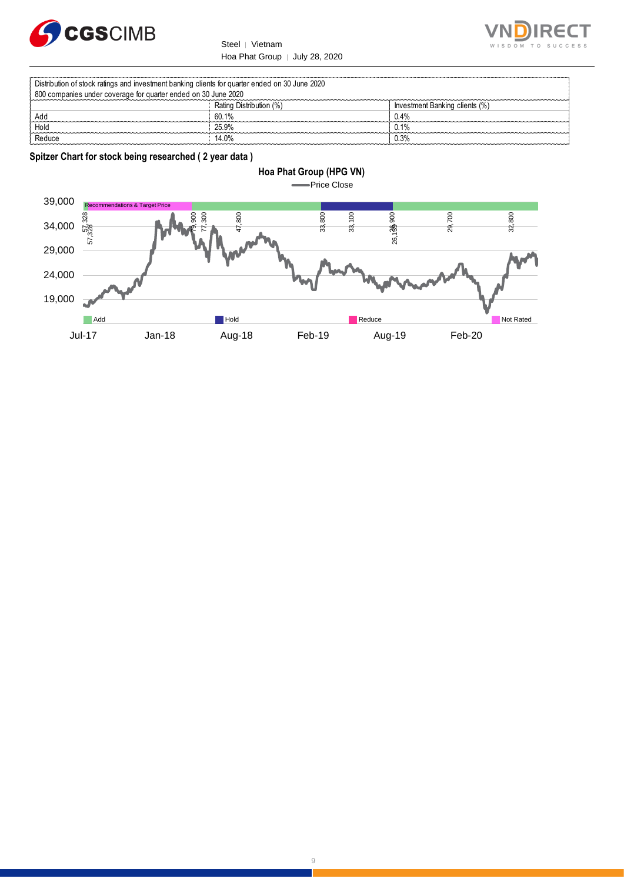



Rating Distribution (%)<br>
60.1%<br>
60.1%<br>
1.4% Add 60.1% 0.4% Hold 25.9% 0.1% Distribution of stock ratings and investment banking clients for quarter ended on 30 June 2020 800 companies under coverage for quarter ended on 30 June 2020

Reduce 14.0% and 14.0% and 14.0% and 14.0% and 14.0% and 14.0% and 14.0% and 14.0% and 14.0% and 14.0% and 14.0

**Spitzer Chart for stock being researched ( 2 year data )** 



#### 9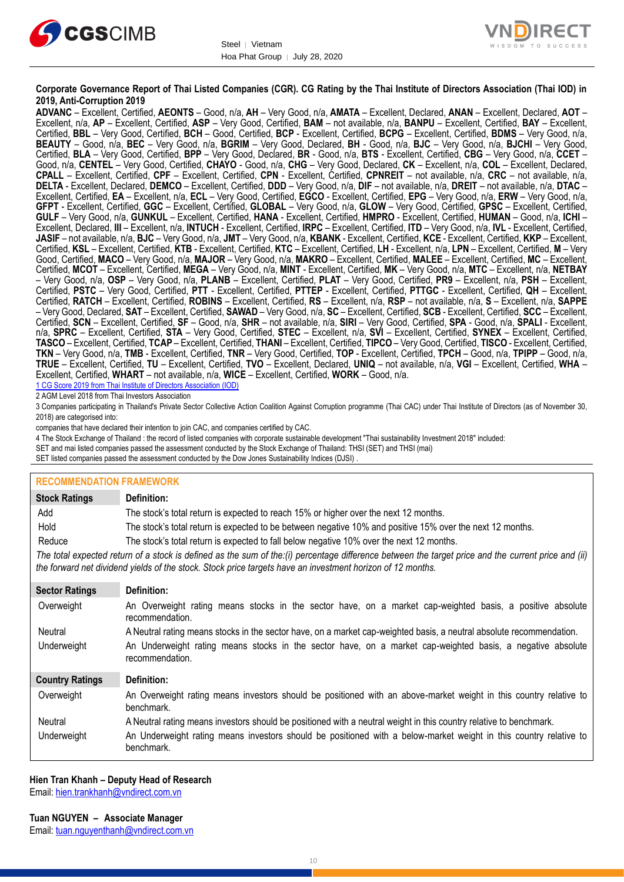



#### **Corporate Governance Report of Thai Listed Companies (CGR). CG Rating by the Thai Institute of Directors Association (Thai IOD) in 2019, Anti-Corruption 2019**

**ADVANC** – Excellent, Certified, **AEONTS** – Good, n/a, **AH** – Very Good, n/a, **AMATA** – Excellent, Declared, **ANAN** – Excellent, Declared, **AOT** – Excellent, n/a, **AP** – Excellent, Certified, **ASP** – Very Good, Certified, **BAM** – not available, n/a, **BANPU** – Excellent, Certified, **BAY** – Excellent, Certified, **BBL** – Very Good, Certified, **BCH** – Good, Certified, **BCP** - Excellent, Certified, **BCPG** – Excellent, Certified, **BDMS** – Very Good, n/a, **BEAUTY** – Good, n/a, **BEC** – Very Good, n/a, **BGRIM** – Very Good, Declared, **BH** - Good, n/a, **BJC** – Very Good, n/a, **BJCHI** – Very Good, Certified, **BLA** – Very Good, Certified, **BPP** – Very Good, Declared, **BR** - Good, n/a, **BTS** - Excellent, Certified, **CBG** – Very Good, n/a, **CCET** – Good, n/a, **CENTEL** – Very Good, Certified, **CHAYO** - Good, n/a, **CHG** – Very Good, Declared, **CK** – Excellent, n/a, **COL** – Excellent, Declared, **CPALL** – Excellent, Certified, **CPF** – Excellent, Certified, **CPN** - Excellent, Certified, **CPNREIT** – not available, n/a, **CRC** – not available, n/a, **DELTA** - Excellent, Declared, **DEMCO** – Excellent, Certified, **DDD** – Very Good, n/a, **DIF** – not available, n/a, **DREIT** – not available, n/a, **DTAC** – Excellent, Certified, **EA** – Excellent, n/a, **ECL** – Very Good, Certified, **EGCO** - Excellent, Certified, **EPG** – Very Good, n/a, **ERW** – Very Good, n/a, **GFPT** - Excellent, Certified, **GGC** – Excellent, Certified, **GLOBAL** – Very Good, n/a, **GLOW** – Very Good, Certified, **GPSC** – Excellent, Certified, **GULF** – Very Good, n/a, **GUNKUL** – Excellent, Certified, **HANA** - Excellent, Certified, **HMPRO** - Excellent, Certified, **HUMAN** – Good, n/a, **ICHI** – Excellent, Declared, **III** – Excellent, n/a, **INTUCH** - Excellent, Certified, **IRPC** – Excellent, Certified, **ITD** – Very Good, n/a, **IVL** - Excellent, Certified, **JASIF** – not available, n/a, **BJC** – Very Good, n/a, **JMT** – Very Good, n/a, **KBANK** - Excellent, Certified, **KCE** - Excellent, Certified, **KKP** – Excellent, Certified, **KSL** – Excellent, Certified, **KTB** - Excellent, Certified, **KTC** – Excellent, Certified, **LH** - Excellent, n/a, **LPN** – Excellent, Certified, **M** – Very Good, Certified, **MACO** – Very Good, n/a, **MAJOR** – Very Good, n/a, **MAKRO** – Excellent, Certified, **MALEE** – Excellent, Certified, **MC** – Excellent, Certified, **MCOT** – Excellent, Certified, **MEGA** – Very Good, n/a, **MINT** - Excellent, Certified, **MK** – Very Good, n/a, **MTC** – Excellent, n/a, **NETBAY** – Very Good, n/a, **OSP** – Very Good, n/a, **PLANB** – Excellent, Certified, **PLAT** – Very Good, Certified, **PR9** – Excellent, n/a, **PSH** – Excellent, Certified, **PSTC** – Very Good, Certified, **PTT** - Excellent, Certified, **PTTEP** - Excellent, Certified, **PTTGC** - Excellent, Certified, **QH** – Excellent, Certified, **RATCH** – Excellent, Certified, **ROBINS** – Excellent, Certified, **RS** – Excellent, n/a, **RSP** – not available, n/a, **S** – Excellent, n/a, **SAPPE** – Very Good, Declared, **SAT** – Excellent, Certified, **SAWAD** – Very Good, n/a, **SC** – Excellent, Certified, **SCB** - Excellent, Certified, **SCC** – Excellent, Certified, **SCN** – Excellent, Certified, **SF** – Good, n/a, **SHR** – not available, n/a, **SIRI** – Very Good, Certified, **SPA** - Good, n/a, **SPALI** - Excellent, n/a, **SPRC** – Excellent, Certified, **STA** – Very Good, Certified, **STEC** – Excellent, n/a, **SVI** – Excellent, Certified, **SYNEX** – Excellent, Certified, **TASCO** – Excellent, Certified, **TCAP** – Excellent, Certified, **THANI** – Excellent, Certified, **TIPCO** – Very Good, Certified, **TISCO** - Excellent, Certified, **TKN** – Very Good, n/a, **TMB** - Excellent, Certified, **TNR** – Very Good, Certified, **TOP** - Excellent, Certified, **TPCH** – Good, n/a, **TPIPP** – Good, n/a, **TRUE** – Excellent, Certified, **TU** – Excellent, Certified, **TVO** – Excellent, Declared, **UNIQ** – not available, n/a, **VGI** – Excellent, Certified, **WHA** – Excellent, Certified, **WHART** – not available, n/a, **WICE** – Excellent, Certified, **WORK** – Good, n/a. 1 CG Score 2019 from Thai Institute of Directors Association (IOD)

2 AGM Level 2018 from Thai Investors Association

3 Companies participating in Thailand's Private Sector Collective Action Coalition Against Corruption programme (Thai CAC) under Thai Institute of Directors (as of November 30, 2018) are categorised into:

companies that have declared their intention to join CAC, and companies certified by CAC.

- 4 [The Stock Exchange of Thailand : the record of listed companies with corporate sustainable development "Thai sustainability Investment 2018" included:](http://www.set.or.th/sustainable_dev/en/sr/sri/tsi_p1.html)
- SET and mai listed companies passed the assessment conducted by the Stock Exchange of Thailand: THSI (SET) and THSI (mai)

SET listed companies passed the assessment conducted by the Dow Jones Sustainability Indices (DJSI)

| <b>RECOMMENDATION FRAMEWORK</b>                                                                                                                                                                                                                                   |                                                                                                                                 |  |  |  |
|-------------------------------------------------------------------------------------------------------------------------------------------------------------------------------------------------------------------------------------------------------------------|---------------------------------------------------------------------------------------------------------------------------------|--|--|--|
| <b>Stock Ratings</b>                                                                                                                                                                                                                                              | Definition:                                                                                                                     |  |  |  |
| Add                                                                                                                                                                                                                                                               | The stock's total return is expected to reach 15% or higher over the next 12 months.                                            |  |  |  |
| Hold                                                                                                                                                                                                                                                              | The stock's total return is expected to be between negative 10% and positive 15% over the next 12 months.                       |  |  |  |
| Reduce                                                                                                                                                                                                                                                            | The stock's total return is expected to fall below negative 10% over the next 12 months.                                        |  |  |  |
| The total expected return of a stock is defined as the sum of the:(i) percentage difference between the target price and the current price and (ii)<br>the forward net dividend yields of the stock. Stock price targets have an investment horizon of 12 months. |                                                                                                                                 |  |  |  |
| <b>Sector Ratings</b>                                                                                                                                                                                                                                             | Definition:                                                                                                                     |  |  |  |
| Overweight                                                                                                                                                                                                                                                        | An Overweight rating means stocks in the sector have, on a market cap-weighted basis, a positive absolute<br>recommendation.    |  |  |  |
| Neutral                                                                                                                                                                                                                                                           | A Neutral rating means stocks in the sector have, on a market cap-weighted basis, a neutral absolute recommendation.            |  |  |  |
| Underweight                                                                                                                                                                                                                                                       | An Underweight rating means stocks in the sector have, on a market cap-weighted basis, a negative absolute<br>recommendation.   |  |  |  |
| <b>Country Ratings</b>                                                                                                                                                                                                                                            | Definition:                                                                                                                     |  |  |  |
| Overweight                                                                                                                                                                                                                                                        | An Overweight rating means investors should be positioned with an above-market weight in this country relative to<br>benchmark. |  |  |  |
| Neutral                                                                                                                                                                                                                                                           | A Neutral rating means investors should be positioned with a neutral weight in this country relative to benchmark.              |  |  |  |
| Underweight                                                                                                                                                                                                                                                       | An Underweight rating means investors should be positioned with a below-market weight in this country relative to<br>benchmark. |  |  |  |

#### **Hien Tran Khanh – Deputy Head of Research**

Email: [hien.trankhanh@vndirect.com.vn](mailto:hien.trankhanh@vndirect.com.vn)

Email: [tuan.nguyenthanh@vndirect.com.vn](mailto:tuan.nguyenthanh@vndirect.com.vn)